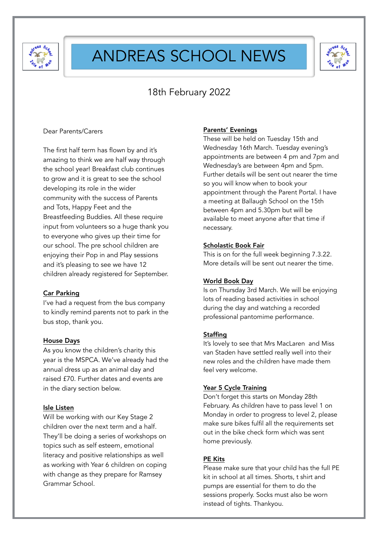

## ANDREAS SCHOOL NEWS



### 18th February 2022

#### Dear Parents/Carers

The first half term has flown by and it's amazing to think we are half way through the school year! Breakfast club continues to grow and it is great to see the school developing its role in the wider community with the success of Parents and Tots, Happy Feet and the Breastfeeding Buddies. All these require input from volunteers so a huge thank you to everyone who gives up their time for our school. The pre school children are enjoying their Pop in and Play sessions and it's pleasing to see we have 12 children already registered for September.

#### Car Parking

I've had a request from the bus company to kindly remind parents not to park in the bus stop, thank you.

### House Days

As you know the children's charity this year is the MSPCA. We've already had the annual dress up as an animal day and raised £70. Further dates and events are in the diary section below.

#### Isle Listen

Will be working with our Key Stage 2 children over the next term and a half. They'll be doing a series of workshops on topics such as self esteem, emotional literacy and positive relationships as well as working with Year 6 children on coping with change as they prepare for Ramsey Grammar School.

### Parents' Evenings

These will be held on Tuesday 15th and Wednesday 16th March. Tuesday evening's appointments are between 4 pm and 7pm and Wednesday's are between 4pm and 5pm. Further details will be sent out nearer the time so you will know when to book your appointment through the Parent Portal. I have a meeting at Ballaugh School on the 15th between 4pm and 5.30pm but will be available to meet anyone after that time if necessary.

#### Scholastic Book Fair

This is on for the full week beginning 7.3.22. More details will be sent out nearer the time.

#### World Book Day

Is on Thursday 3rd March. We will be enjoying lots of reading based activities in school during the day and watching a recorded professional pantomime performance.

#### **Staffing**

It's lovely to see that Mrs MacLaren and Miss van Staden have settled really well into their new roles and the children have made them feel very welcome.

#### Year 5 Cycle Training

Don't forget this starts on Monday 28th February. As children have to pass level 1 on Monday in order to progress to level 2, please make sure bikes fulfil all the requirements set out in the bike check form which was sent home previously.

#### PE Kits

Please make sure that your child has the full PE kit in school at all times. Shorts, t shirt and pumps are essential for them to do the sessions properly. Socks must also be worn instead of tights. Thankyou.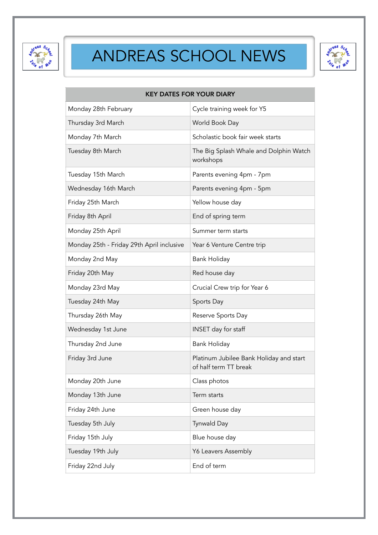

# ANDREAS SCHOOL NEWS



| <b>KEY DATES FOR YOUR DIARY</b>           |                                                                  |
|-------------------------------------------|------------------------------------------------------------------|
| Monday 28th February                      | Cycle training week for Y5                                       |
| Thursday 3rd March                        | World Book Day                                                   |
| Monday 7th March                          | Scholastic book fair week starts                                 |
| Tuesday 8th March                         | The Big Splash Whale and Dolphin Watch<br>workshops              |
| Tuesday 15th March                        | Parents evening 4pm - 7pm                                        |
| Wednesday 16th March                      | Parents evening 4pm - 5pm                                        |
| Friday 25th March                         | Yellow house day                                                 |
| Friday 8th April                          | End of spring term                                               |
| Monday 25th April                         | Summer term starts                                               |
| Monday 25th - Friday 29th April inclusive | Year 6 Venture Centre trip                                       |
| Monday 2nd May                            | <b>Bank Holiday</b>                                              |
| Friday 20th May                           | Red house day                                                    |
| Monday 23rd May                           | Crucial Crew trip for Year 6                                     |
| Tuesday 24th May                          | Sports Day                                                       |
| Thursday 26th May                         | Reserve Sports Day                                               |
| Wednesday 1st June                        | INSET day for staff                                              |
| Thursday 2nd June                         | <b>Bank Holiday</b>                                              |
| Friday 3rd June                           | Platinum Jubilee Bank Holiday and start<br>of half term TT break |
| Monday 20th June                          | Class photos                                                     |
| Monday 13th June                          | Term starts                                                      |
| Friday 24th June                          | Green house day                                                  |
| Tuesday 5th July                          | Tynwald Day                                                      |
| Friday 15th July                          | Blue house day                                                   |
| Tuesday 19th July                         | Y6 Leavers Assembly                                              |
| Friday 22nd July                          | End of term                                                      |